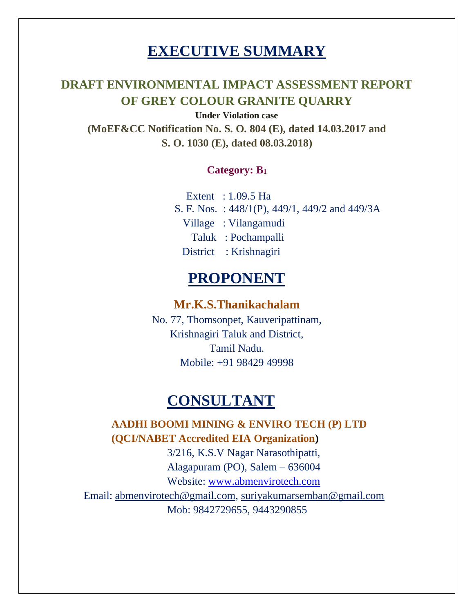# **EXECUTIVE SUMMARY**

# **DRAFT ENVIRONMENTAL IMPACT ASSESSMENT REPORT OF GREY COLOUR GRANITE QUARRY**

**Under Violation case (MoEF&CC Notification No. S. O. 804 (E), dated 14.03.2017 and S. O. 1030 (E), dated 08.03.2018)**

# **Category: B<sup>1</sup>**

 Extent : 1.09.5 Ha S. F. Nos. : 448/1(P), 449/1, 449/2 and 449/3A Village : Vilangamudi Taluk : Pochampalli District : Krishnagiri

# **PROPONENT**

# **Mr.K.S.Thanikachalam**

No. 77, Thomsonpet, Kauveripattinam, Krishnagiri Taluk and District, Tamil Nadu. Mobile: +91 98429 49998

# **CONSULTANT**

**AADHI BOOMI MINING & ENVIRO TECH (P) LTD (QCI/NABET Accredited EIA Organization)** 3/216, K.S.V Nagar Narasothipatti, Alagapuram (PO), Salem – 636004 Website: [www.abmenvirotech.com](http://www.abmenvirotech.com/)

Email: [abmenvirotech@gmail.com,](mailto:abmenvirotech@gmail.com) [suriyakumarsemban@gmail.com](mailto:suriyakumarsemban@gmail.com) Mob: 9842729655, 9443290855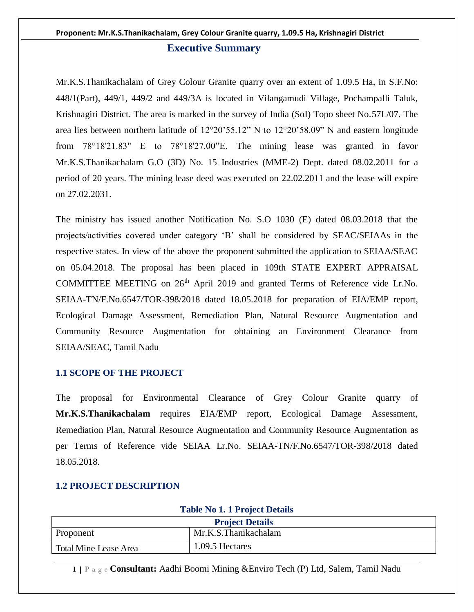#### **Executive Summary**

Mr.K.S.Thanikachalam of Grey Colour Granite quarry over an extent of 1.09.5 Ha, in S.F.No: 448/1(Part), 449/1, 449/2 and 449/3A is located in Vilangamudi Village, Pochampalli Taluk, Krishnagiri District. The area is marked in the survey of India (SoI) Topo sheet No.57L/07. The area lies between northern latitude of 12°20'55.12" N to 12°20'58.09" N and eastern longitude from 78°18'21.83" E to 78°18'27.00"E. The mining lease was granted in favor Mr.K.S.Thanikachalam G.O (3D) No. 15 Industries (MME-2) Dept. dated 08.02.2011 for a period of 20 years. The mining lease deed was executed on 22.02.2011 and the lease will expire on 27.02.2031.

The ministry has issued another Notification No. S.O 1030 (E) dated 08.03.2018 that the projects/activities covered under category 'B' shall be considered by SEAC/SEIAAs in the respective states. In view of the above the proponent submitted the application to SEIAA/SEAC on 05.04.2018. The proposal has been placed in 109th STATE EXPERT APPRAISAL COMMITTEE MEETING on  $26<sup>th</sup>$  April 2019 and granted Terms of Reference vide Lr.No. SEIAA-TN/F.No.6547/TOR-398/2018 dated 18.05.2018 for preparation of EIA/EMP report, Ecological Damage Assessment, Remediation Plan, Natural Resource Augmentation and Community Resource Augmentation for obtaining an Environment Clearance from SEIAA/SEAC, Tamil Nadu

#### **1.1 SCOPE OF THE PROJECT**

The proposal for Environmental Clearance of Grey Colour Granite quarry of **Mr.K.S.Thanikachalam** requires EIA/EMP report, Ecological Damage Assessment, Remediation Plan, Natural Resource Augmentation and Community Resource Augmentation as per Terms of Reference vide SEIAA Lr.No. SEIAA-TN/F.No.6547/TOR-398/2018 dated 18.05.2018.

# **Table No 1. 1 Project Details Project Details** Proponent Mr.K.S.Thanikachalam Total Mine Lease Area 1.09.5 Hectares

#### **1.2 PROJECT DESCRIPTION**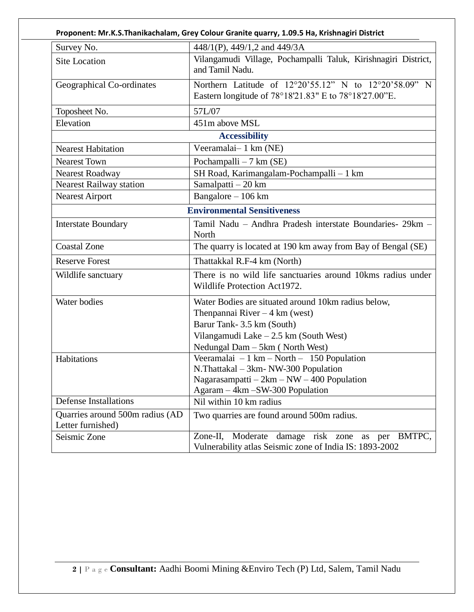| Survey No.                                           | 448/1(P), 449/1,2 and 449/3A                                                                                                                                                                               |  |  |  |
|------------------------------------------------------|------------------------------------------------------------------------------------------------------------------------------------------------------------------------------------------------------------|--|--|--|
| <b>Site Location</b>                                 | Vilangamudi Village, Pochampalli Taluk, Kirishnagiri District,<br>and Tamil Nadu.                                                                                                                          |  |  |  |
| Geographical Co-ordinates                            | Northern Latitude of 12°20'55.12" N to 12°20'58.09" N<br>Eastern longitude of 78°18'21.83" E to 78°18'27.00"E.                                                                                             |  |  |  |
| Toposheet No.                                        | 57L/07                                                                                                                                                                                                     |  |  |  |
| Elevation                                            | 451m above MSL                                                                                                                                                                                             |  |  |  |
|                                                      | <b>Accessibility</b>                                                                                                                                                                                       |  |  |  |
| <b>Nearest Habitation</b>                            | Veeramalai-1 km (NE)                                                                                                                                                                                       |  |  |  |
| <b>Nearest Town</b>                                  | Pochampalli $-7$ km (SE)                                                                                                                                                                                   |  |  |  |
| Nearest Roadway                                      | SH Road, Karimangalam-Pochampalli - 1 km                                                                                                                                                                   |  |  |  |
| <b>Nearest Railway station</b>                       | Samalpatti - 20 km                                                                                                                                                                                         |  |  |  |
| <b>Nearest Airport</b>                               | Bangalore - 106 km                                                                                                                                                                                         |  |  |  |
|                                                      | <b>Environmental Sensitiveness</b>                                                                                                                                                                         |  |  |  |
| <b>Interstate Boundary</b>                           | Tamil Nadu - Andhra Pradesh interstate Boundaries- 29km -<br>North                                                                                                                                         |  |  |  |
| <b>Coastal Zone</b>                                  | The quarry is located at 190 km away from Bay of Bengal (SE)                                                                                                                                               |  |  |  |
| <b>Reserve Forest</b>                                | Thattakkal R.F-4 km (North)                                                                                                                                                                                |  |  |  |
| Wildlife sanctuary                                   | There is no wild life sanctuaries around 10kms radius under<br>Wildlife Protection Act1972.                                                                                                                |  |  |  |
| Water bodies                                         | Water Bodies are situated around 10km radius below,<br>Thenpannai River $-4 \text{ km}$ (west)<br>Barur Tank- 3.5 km (South)<br>Vilangamudi Lake $-2.5$ km (South West)<br>Nedungal Dam - 5km (North West) |  |  |  |
| Habitations                                          | Veeramalai $-1$ km $-$ North $-$ 150 Population<br>N.Thattakal - 3km- NW-300 Population<br>Nagarasampatti $-2km - NW - 400$ Population<br>Agaram - 4km - SW-300 Population                                 |  |  |  |
| <b>Defense Installations</b>                         | Nil within 10 km radius                                                                                                                                                                                    |  |  |  |
| Quarries around 500m radius (AD<br>Letter furnished) | Two quarries are found around 500m radius.                                                                                                                                                                 |  |  |  |
| Seismic Zone                                         | Moderate damage risk zone as per BMTPC,<br>Zone-II,<br>Vulnerability atlas Seismic zone of India IS: 1893-2002                                                                                             |  |  |  |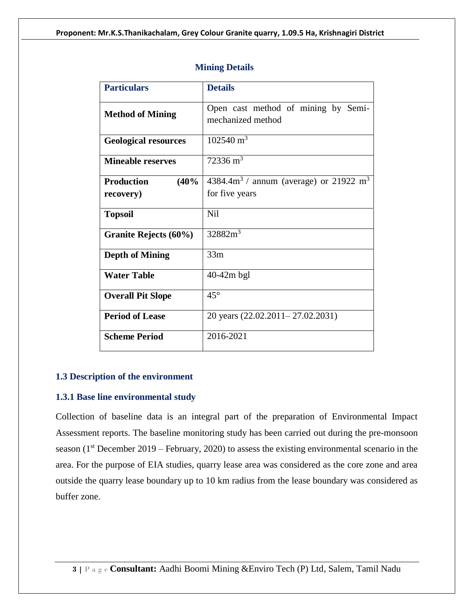| <b>Particulars</b>          | <b>Details</b>                                           |  |  |  |  |
|-----------------------------|----------------------------------------------------------|--|--|--|--|
| <b>Method of Mining</b>     | Open cast method of mining by Semi-<br>mechanized method |  |  |  |  |
| <b>Geological resources</b> | $1025\overline{40 \text{ m}^3}$                          |  |  |  |  |
| <b>Mineable reserves</b>    | $72336 \text{ m}^3$                                      |  |  |  |  |
| <b>Production</b><br>(40%   | $4384.4m3$ / annum (average) or 21922 m <sup>3</sup>     |  |  |  |  |
| recovery)                   | for five years                                           |  |  |  |  |
| <b>Topsoil</b>              | <b>Nil</b>                                               |  |  |  |  |
| Granite Rejects (60%)       | 32882m <sup>3</sup>                                      |  |  |  |  |
| <b>Depth of Mining</b>      | 33m                                                      |  |  |  |  |
| <b>Water Table</b>          | $40-42m$ bgl                                             |  |  |  |  |
| <b>Overall Pit Slope</b>    | $45^{\circ}$                                             |  |  |  |  |
| <b>Period of Lease</b>      | 20 years (22.02.2011-27.02.2031)                         |  |  |  |  |
| <b>Scheme Period</b>        | 2016-2021                                                |  |  |  |  |

#### **Mining Details**

#### **1.3 Description of the environment**

#### **1.3.1 Base line environmental study**

Collection of baseline data is an integral part of the preparation of Environmental Impact Assessment reports. The baseline monitoring study has been carried out during the pre-monsoon season  $(1<sup>st</sup> December 2019 – February, 2020) to assess the existing environmental scenario in the$ area. For the purpose of EIA studies, quarry lease area was considered as the core zone and area outside the quarry lease boundary up to 10 km radius from the lease boundary was considered as buffer zone.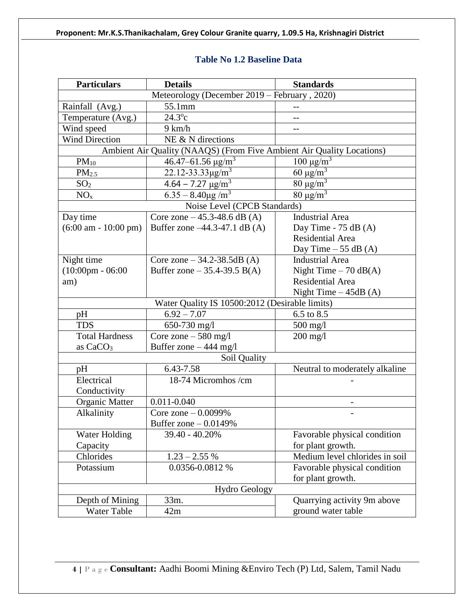# **Table No 1.2 Baseline Data**

| <b>Particulars</b><br><b>Details</b>           |                                                                       | <b>Standards</b>               |  |  |  |  |
|------------------------------------------------|-----------------------------------------------------------------------|--------------------------------|--|--|--|--|
|                                                | Meteorology (December 2019 - February, 2020)                          |                                |  |  |  |  |
| Rainfall (Avg.)                                | 55.1mm                                                                |                                |  |  |  |  |
| Temperature (Avg.)                             | $24.3^{\circ}c$                                                       |                                |  |  |  |  |
| Wind speed                                     | 9 km/h                                                                | $-$                            |  |  |  |  |
| <b>Wind Direction</b>                          | NE & N directions                                                     |                                |  |  |  |  |
|                                                | Ambient Air Quality (NAAQS) (From Five Ambient Air Quality Locations) |                                |  |  |  |  |
| $PM_{10}$                                      | $46.47 - 61.56 \text{ µg/m}^3$                                        | $100 \mu g/m^3$                |  |  |  |  |
| PM <sub>2.5</sub>                              | 22.12-33.33 $\mu$ g/m <sup>3</sup>                                    | 60 $\mu$ g/m <sup>3</sup>      |  |  |  |  |
| SO <sub>2</sub>                                | $4.64 - 7.27 \text{ µg/m}^3$                                          | $80 \mu g/m^3$                 |  |  |  |  |
| NO <sub>x</sub>                                | $6.35 - 8.40 \mu g/m^3$                                               | $80 \mu g/m^3$                 |  |  |  |  |
|                                                | Noise Level (CPCB Standards)                                          |                                |  |  |  |  |
| Day time                                       | Core zone $-45.3-48.6$ dB (A)                                         | <b>Industrial Area</b>         |  |  |  |  |
| $(6:00 \text{ am} - 10:00 \text{ pm})$         | Buffer zone -44.3-47.1 dB (A)                                         | Day Time - $75$ dB $(A)$       |  |  |  |  |
|                                                |                                                                       | Residential Area               |  |  |  |  |
|                                                |                                                                       | Day Time $-55$ dB (A)          |  |  |  |  |
| Night time                                     | Core zone $-34.2 - 38.5$ dB (A)                                       | <b>Industrial Area</b>         |  |  |  |  |
| $(10:00 \text{pm} - 06:00)$                    | Buffer zone – 35.4-39.5 B(A)                                          | Night Time $-70$ dB(A)         |  |  |  |  |
| am)                                            |                                                                       | <b>Residential Area</b>        |  |  |  |  |
|                                                |                                                                       | Night Time $-45dB(A)$          |  |  |  |  |
| Water Quality IS 10500:2012 (Desirable limits) |                                                                       |                                |  |  |  |  |
| pH                                             | $6.92 - 7.07$                                                         | 6.5 to 8.5                     |  |  |  |  |
| <b>TDS</b>                                     | 650-730 mg/l                                                          | 500 mg/l                       |  |  |  |  |
| <b>Total Hardness</b>                          | Core zone $-580$ mg/l                                                 | $200$ mg/l                     |  |  |  |  |
| Buffer zone $-444$ mg/l<br>as $CaCO3$          |                                                                       |                                |  |  |  |  |
|                                                | Soil Quality                                                          |                                |  |  |  |  |
| pH                                             | 6.43-7.58                                                             | Neutral to moderately alkaline |  |  |  |  |
| Electrical                                     | 18-74 Micromhos /cm                                                   |                                |  |  |  |  |
| Conductivity                                   |                                                                       |                                |  |  |  |  |
| Organic Matter                                 | $0.011 - 0.040$                                                       |                                |  |  |  |  |
| Alkalinity                                     | Core zone $-0.0099%$                                                  |                                |  |  |  |  |
|                                                | Buffer zone $-0.0149%$                                                |                                |  |  |  |  |
| Water Holding                                  | 39.40 - 40.20%                                                        | Favorable physical condition   |  |  |  |  |
| Capacity                                       |                                                                       | for plant growth.              |  |  |  |  |
| Chlorides                                      | $1.23 - 2.55%$                                                        | Medium level chlorides in soil |  |  |  |  |
| Potassium                                      | 0.0356-0.0812 %                                                       | Favorable physical condition   |  |  |  |  |
|                                                |                                                                       | for plant growth.              |  |  |  |  |
|                                                | <b>Hydro Geology</b>                                                  |                                |  |  |  |  |
| Depth of Mining                                | 33m.                                                                  | Quarrying activity 9m above    |  |  |  |  |
| Water Table                                    | 42m                                                                   | ground water table             |  |  |  |  |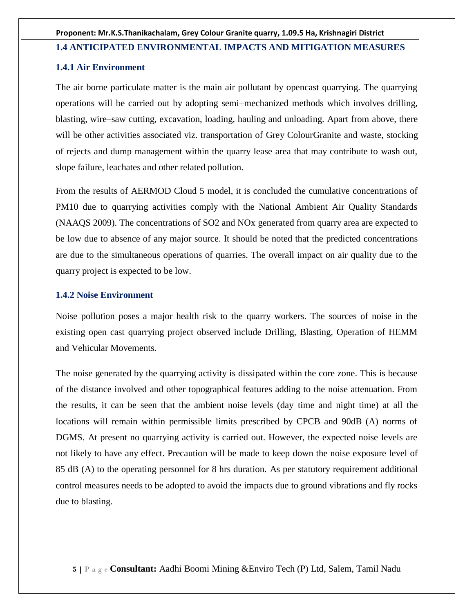#### **1.4 ANTICIPATED ENVIRONMENTAL IMPACTS AND MITIGATION MEASURES**

#### **1.4.1 Air Environment**

The air borne particulate matter is the main air pollutant by opencast quarrying. The quarrying operations will be carried out by adopting semi–mechanized methods which involves drilling, blasting, wire–saw cutting, excavation, loading, hauling and unloading. Apart from above, there will be other activities associated viz. transportation of Grey ColourGranite and waste, stocking of rejects and dump management within the quarry lease area that may contribute to wash out, slope failure, leachates and other related pollution.

From the results of AERMOD Cloud 5 model, it is concluded the cumulative concentrations of PM10 due to quarrying activities comply with the National Ambient Air Quality Standards (NAAQS 2009). The concentrations of SO2 and NOx generated from quarry area are expected to be low due to absence of any major source. It should be noted that the predicted concentrations are due to the simultaneous operations of quarries. The overall impact on air quality due to the quarry project is expected to be low.

#### **1.4.2 Noise Environment**

Noise pollution poses a major health risk to the quarry workers. The sources of noise in the existing open cast quarrying project observed include Drilling, Blasting, Operation of HEMM and Vehicular Movements.

The noise generated by the quarrying activity is dissipated within the core zone. This is because of the distance involved and other topographical features adding to the noise attenuation. From the results, it can be seen that the ambient noise levels (day time and night time) at all the locations will remain within permissible limits prescribed by CPCB and 90dB (A) norms of DGMS. At present no quarrying activity is carried out. However, the expected noise levels are not likely to have any effect. Precaution will be made to keep down the noise exposure level of 85 dB (A) to the operating personnel for 8 hrs duration. As per statutory requirement additional control measures needs to be adopted to avoid the impacts due to ground vibrations and fly rocks due to blasting.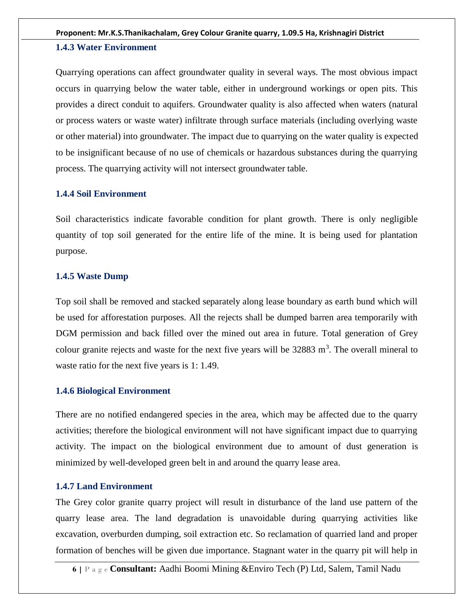#### **1.4.3 Water Environment**

Quarrying operations can affect groundwater quality in several ways. The most obvious impact occurs in quarrying below the water table, either in underground workings or open pits. This provides a direct conduit to aquifers. Groundwater quality is also affected when waters (natural or process waters or waste water) infiltrate through surface materials (including overlying waste or other material) into groundwater. The impact due to quarrying on the water quality is expected to be insignificant because of no use of chemicals or hazardous substances during the quarrying process. The quarrying activity will not intersect groundwater table.

#### **1.4.4 Soil Environment**

Soil characteristics indicate favorable condition for plant growth. There is only negligible quantity of top soil generated for the entire life of the mine. It is being used for plantation purpose.

#### **1.4.5 Waste Dump**

Top soil shall be removed and stacked separately along lease boundary as earth bund which will be used for afforestation purposes. All the rejects shall be dumped barren area temporarily with DGM permission and back filled over the mined out area in future. Total generation of Grey colour granite rejects and waste for the next five years will be  $32883 \text{ m}^3$ . The overall mineral to waste ratio for the next five years is 1: 1.49.

#### **1.4.6 Biological Environment**

There are no notified endangered species in the area, which may be affected due to the quarry activities; therefore the biological environment will not have significant impact due to quarrying activity. The impact on the biological environment due to amount of dust generation is minimized by well-developed green belt in and around the quarry lease area.

#### **1.4.7 Land Environment**

The Grey color granite quarry project will result in disturbance of the land use pattern of the quarry lease area. The land degradation is unavoidable during quarrying activities like excavation, overburden dumping, soil extraction etc. So reclamation of quarried land and proper formation of benches will be given due importance. Stagnant water in the quarry pit will help in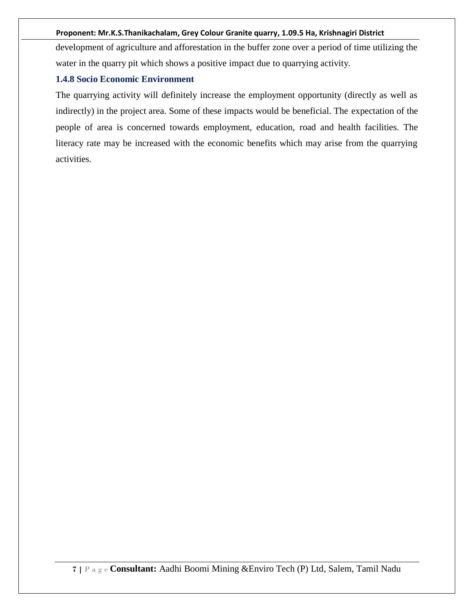development of agriculture and afforestation in the buffer zone over a period of time utilizing the water in the quarry pit which shows a positive impact due to quarrying activity.

#### **1.4.8 Socio Economic Environment**

The quarrying activity will definitely increase the employment opportunity (directly as well as indirectly) in the project area. Some of these impacts would be beneficial. The expectation of the people of area is concerned towards employment, education, road and health facilities. The literacy rate may be increased with the economic benefits which may arise from the quarrying activities.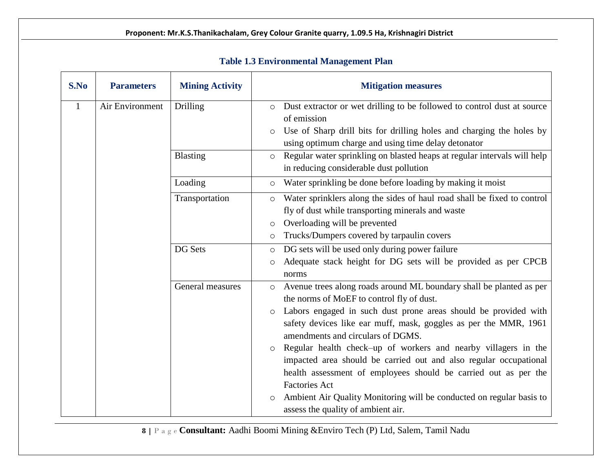| S.No | <b>Parameters</b> | <b>Mining Activity</b> | <b>Mitigation measures</b>                                                                                                                                                                                                                                                                                                                                                                                                                                                                                                                                                                                                                                                               |  |  |
|------|-------------------|------------------------|------------------------------------------------------------------------------------------------------------------------------------------------------------------------------------------------------------------------------------------------------------------------------------------------------------------------------------------------------------------------------------------------------------------------------------------------------------------------------------------------------------------------------------------------------------------------------------------------------------------------------------------------------------------------------------------|--|--|
| 1    | Air Environment   | Drilling               | Dust extractor or wet drilling to be followed to control dust at source<br>$\circ$<br>of emission<br>Use of Sharp drill bits for drilling holes and charging the holes by<br>$\circ$<br>using optimum charge and using time delay detonator                                                                                                                                                                                                                                                                                                                                                                                                                                              |  |  |
|      |                   | Blasting               | Regular water sprinkling on blasted heaps at regular intervals will help<br>$\circ$<br>in reducing considerable dust pollution                                                                                                                                                                                                                                                                                                                                                                                                                                                                                                                                                           |  |  |
|      |                   | Loading                | Water sprinkling be done before loading by making it moist<br>$\circ$                                                                                                                                                                                                                                                                                                                                                                                                                                                                                                                                                                                                                    |  |  |
|      |                   | Transportation         | Water sprinklers along the sides of haul road shall be fixed to control<br>$\circ$<br>fly of dust while transporting minerals and waste<br>Overloading will be prevented<br>$\circ$<br>Trucks/Dumpers covered by tarpaulin covers<br>$\circ$                                                                                                                                                                                                                                                                                                                                                                                                                                             |  |  |
|      |                   | <b>DG Sets</b>         | DG sets will be used only during power failure<br>$\circ$<br>Adequate stack height for DG sets will be provided as per CPCB<br>$\circ$<br>norms                                                                                                                                                                                                                                                                                                                                                                                                                                                                                                                                          |  |  |
|      |                   | General measures       | Avenue trees along roads around ML boundary shall be planted as per<br>$\circ$<br>the norms of MoEF to control fly of dust.<br>Labors engaged in such dust prone areas should be provided with<br>$\circ$<br>safety devices like ear muff, mask, goggles as per the MMR, 1961<br>amendments and circulars of DGMS.<br>Regular health check-up of workers and nearby villagers in the<br>$\circ$<br>impacted area should be carried out and also regular occupational<br>health assessment of employees should be carried out as per the<br><b>Factories Act</b><br>Ambient Air Quality Monitoring will be conducted on regular basis to<br>$\circ$<br>assess the quality of ambient air. |  |  |

# **Table 1.3 Environmental Management Plan**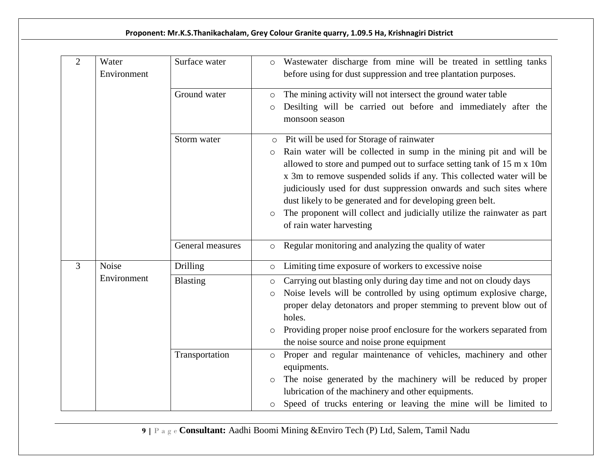| $\overline{2}$ | Water<br>Environment | Surface water    | Wastewater discharge from mine will be treated in settling tanks<br>$\circ$<br>before using for dust suppression and tree plantation purposes.                                                                                                                                                                                                                                                                                                                                                                                               |
|----------------|----------------------|------------------|----------------------------------------------------------------------------------------------------------------------------------------------------------------------------------------------------------------------------------------------------------------------------------------------------------------------------------------------------------------------------------------------------------------------------------------------------------------------------------------------------------------------------------------------|
|                |                      | Ground water     | The mining activity will not intersect the ground water table<br>$\circ$<br>Desilting will be carried out before and immediately after the<br>$\circ$<br>monsoon season                                                                                                                                                                                                                                                                                                                                                                      |
|                |                      | Storm water      | Pit will be used for Storage of rainwater<br>$\circ$<br>Rain water will be collected in sump in the mining pit and will be<br>$\circ$<br>allowed to store and pumped out to surface setting tank of 15 m x 10m<br>x 3m to remove suspended solids if any. This collected water will be<br>judiciously used for dust suppression onwards and such sites where<br>dust likely to be generated and for developing green belt.<br>The proponent will collect and judicially utilize the rainwater as part<br>$\circ$<br>of rain water harvesting |
|                |                      | General measures | Regular monitoring and analyzing the quality of water<br>$\circ$                                                                                                                                                                                                                                                                                                                                                                                                                                                                             |
| 3              | <b>Noise</b>         | Drilling         | Limiting time exposure of workers to excessive noise<br>$\circ$                                                                                                                                                                                                                                                                                                                                                                                                                                                                              |
|                | Environment          | Blasting         | Carrying out blasting only during day time and not on cloudy days<br>$\circ$<br>Noise levels will be controlled by using optimum explosive charge,<br>$\circ$<br>proper delay detonators and proper stemming to prevent blow out of<br>holes.<br>Providing proper noise proof enclosure for the workers separated from<br>the noise source and noise prone equipment                                                                                                                                                                         |
|                |                      | Transportation   | Proper and regular maintenance of vehicles, machinery and other<br>$\circ$<br>equipments.<br>The noise generated by the machinery will be reduced by proper<br>$\circ$<br>lubrication of the machinery and other equipments.<br>Speed of trucks entering or leaving the mine will be limited to<br>$\circ$                                                                                                                                                                                                                                   |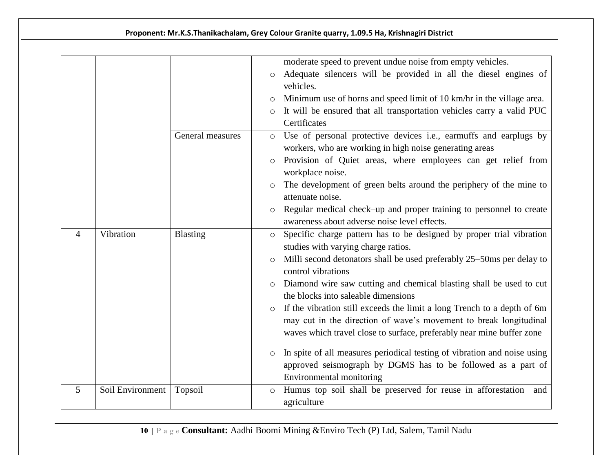|                 |                  |                  | moderate speed to prevent undue noise from empty vehicles.                                                             |
|-----------------|------------------|------------------|------------------------------------------------------------------------------------------------------------------------|
|                 |                  |                  | Adequate silencers will be provided in all the diesel engines of<br>$\circ$<br>vehicles.                               |
|                 |                  |                  | Minimum use of horns and speed limit of 10 km/hr in the village area.                                                  |
|                 |                  |                  | It will be ensured that all transportation vehicles carry a valid PUC<br>$\circ$                                       |
|                 |                  |                  | Certificates                                                                                                           |
|                 |                  | General measures | Use of personal protective devices i.e., earmuffs and earplugs by<br>$\circ$                                           |
|                 |                  |                  | workers, who are working in high noise generating areas                                                                |
|                 |                  |                  | Provision of Quiet areas, where employees can get relief from<br>workplace noise.                                      |
|                 |                  |                  | The development of green belts around the periphery of the mine to<br>$\circ$                                          |
|                 |                  |                  | attenuate noise.                                                                                                       |
|                 |                  |                  | Regular medical check-up and proper training to personnel to create<br>$\circ$                                         |
|                 |                  |                  | awareness about adverse noise level effects.                                                                           |
| $\overline{4}$  | Vibration        | Blasting         | Specific charge pattern has to be designed by proper trial vibration<br>$\circ$<br>studies with varying charge ratios. |
|                 |                  |                  | Milli second detonators shall be used preferably 25–50ms per delay to<br>$\circ$                                       |
|                 |                  |                  | control vibrations                                                                                                     |
|                 |                  |                  | Diamond wire saw cutting and chemical blasting shall be used to cut<br>$\circ$                                         |
|                 |                  |                  | the blocks into saleable dimensions                                                                                    |
|                 |                  |                  | If the vibration still exceeds the limit a long Trench to a depth of 6m<br>$\circ$                                     |
|                 |                  |                  | may cut in the direction of wave's movement to break longitudinal                                                      |
|                 |                  |                  | waves which travel close to surface, preferably near mine buffer zone                                                  |
|                 |                  |                  | In spite of all measures periodical testing of vibration and noise using<br>$\circ$                                    |
|                 |                  |                  | approved seismograph by DGMS has to be followed as a part of                                                           |
|                 |                  |                  | Environmental monitoring                                                                                               |
| $5\overline{)}$ | Soil Environment | Topsoil          | Humus top soil shall be preserved for reuse in afforestation<br>and<br>$\circ$                                         |
|                 |                  |                  | agriculture                                                                                                            |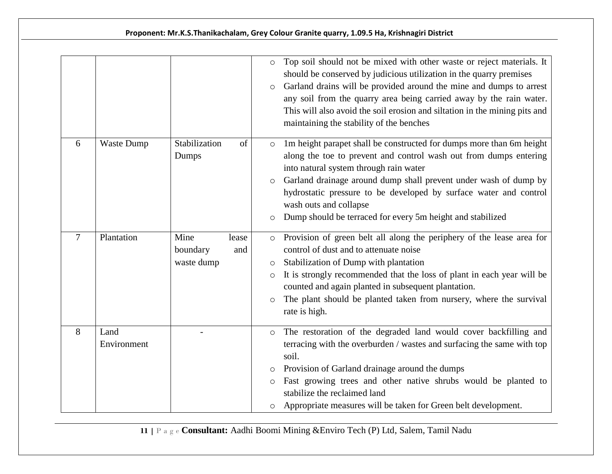|   |                     |                                | $\circ$<br>$\circ$                                 | Top soil should not be mixed with other waste or reject materials. It<br>should be conserved by judicious utilization in the quarry premises<br>Garland drains will be provided around the mine and dumps to arrest<br>any soil from the quarry area being carried away by the rain water.<br>This will also avoid the soil erosion and siltation in the mining pits and<br>maintaining the stability of the benches |
|---|---------------------|--------------------------------|----------------------------------------------------|----------------------------------------------------------------------------------------------------------------------------------------------------------------------------------------------------------------------------------------------------------------------------------------------------------------------------------------------------------------------------------------------------------------------|
| 6 | Waste Dump          | Stabilization<br>Dumps         | of<br>$\circ$<br>$\circ$<br>$\circ$                | 1m height parapet shall be constructed for dumps more than 6m height<br>along the toe to prevent and control wash out from dumps entering<br>into natural system through rain water<br>Garland drainage around dump shall prevent under wash of dump by<br>hydrostatic pressure to be developed by surface water and control<br>wash outs and collapse<br>Dump should be terraced for every 5m height and stabilized |
| 7 | Plantation          | Mine<br>boundary<br>waste dump | lease<br>$\circ$<br>and<br>O<br>$\circ$<br>$\circ$ | Provision of green belt all along the periphery of the lease area for<br>control of dust and to attenuate noise<br>Stabilization of Dump with plantation<br>It is strongly recommended that the loss of plant in each year will be<br>counted and again planted in subsequent plantation.<br>The plant should be planted taken from nursery, where the survival<br>rate is high.                                     |
| 8 | Land<br>Environment |                                | $\circ$<br>$\circ$<br>$\circ$<br>$\circ$           | The restoration of the degraded land would cover backfilling and<br>terracing with the overburden / wastes and surfacing the same with top<br>soil.<br>Provision of Garland drainage around the dumps<br>Fast growing trees and other native shrubs would be planted to<br>stabilize the reclaimed land<br>Appropriate measures will be taken for Green belt development.                                            |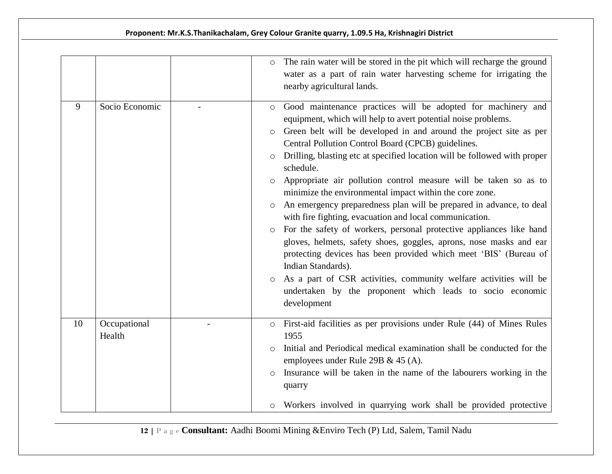|    |                        | The rain water will be stored in the pit which will recharge the ground<br>$\circ$<br>water as a part of rain water harvesting scheme for irrigating the<br>nearby agricultural lands.                                                                                                                                                                                                                                                                                                                                                                                                                                                                                                                                                                                                                                                                                                                                                                                                                                                                                                    |
|----|------------------------|-------------------------------------------------------------------------------------------------------------------------------------------------------------------------------------------------------------------------------------------------------------------------------------------------------------------------------------------------------------------------------------------------------------------------------------------------------------------------------------------------------------------------------------------------------------------------------------------------------------------------------------------------------------------------------------------------------------------------------------------------------------------------------------------------------------------------------------------------------------------------------------------------------------------------------------------------------------------------------------------------------------------------------------------------------------------------------------------|
| 9  | Socio Economic         | Good maintenance practices will be adopted for machinery and<br>$\circ$<br>equipment, which will help to avert potential noise problems.<br>Green belt will be developed in and around the project site as per<br>$\circ$<br>Central Pollution Control Board (CPCB) guidelines.<br>Drilling, blasting etc at specified location will be followed with proper<br>$\circ$<br>schedule.<br>Appropriate air pollution control measure will be taken so as to<br>$\circ$<br>minimize the environmental impact within the core zone.<br>An emergency preparedness plan will be prepared in advance, to deal<br>$\circ$<br>with fire fighting, evacuation and local communication.<br>For the safety of workers, personal protective appliances like hand<br>$\circ$<br>gloves, helmets, safety shoes, goggles, aprons, nose masks and ear<br>protecting devices has been provided which meet 'BIS' (Bureau of<br>Indian Standards).<br>As a part of CSR activities, community welfare activities will be<br>$\circ$<br>undertaken by the proponent which leads to socio economic<br>development |
| 10 | Occupational<br>Health | First-aid facilities as per provisions under Rule (44) of Mines Rules<br>$\circ$<br>1955<br>Initial and Periodical medical examination shall be conducted for the<br>$\circ$<br>employees under Rule 29B & 45 (A).<br>Insurance will be taken in the name of the labourers working in the<br>$\circ$<br>quarry<br>Workers involved in quarrying work shall be provided protective<br>O                                                                                                                                                                                                                                                                                                                                                                                                                                                                                                                                                                                                                                                                                                    |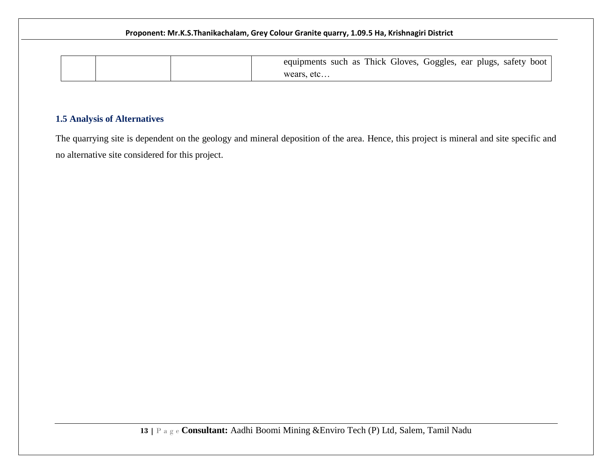|  | equipments such as Thick Gloves, Goggles, ear plugs, safety boot |
|--|------------------------------------------------------------------|
|  | wears, etc                                                       |

# **1.5 Analysis of Alternatives**

The quarrying site is dependent on the geology and mineral deposition of the area. Hence, this project is mineral and site specific and no alternative site considered for this project.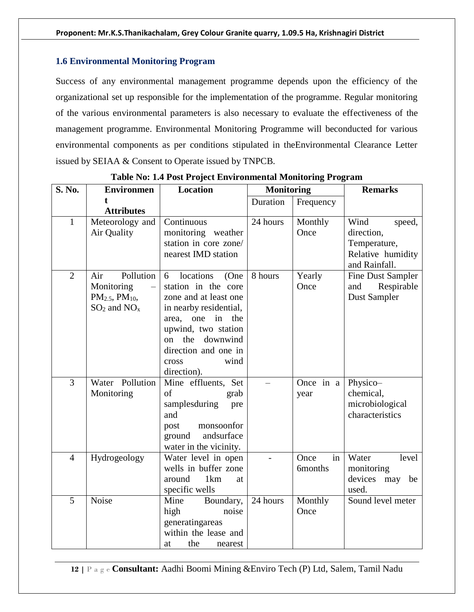#### **1.6 Environmental Monitoring Program**

Success of any environmental management programme depends upon the efficiency of the organizational set up responsible for the implementation of the programme. Regular monitoring of the various environmental parameters is also necessary to evaluate the effectiveness of the management programme. Environmental Monitoring Programme will beconducted for various environmental components as per conditions stipulated in theEnvironmental Clearance Letter issued by SEIAA & Consent to Operate issued by TNPCB.

| <b>S. No.</b>  | <b>Environmen</b>        | <b>Location</b>                            | <b>Monitoring</b> |                | <b>Remarks</b>                     |
|----------------|--------------------------|--------------------------------------------|-------------------|----------------|------------------------------------|
|                | t                        |                                            | Duration          | Frequency      |                                    |
|                | <b>Attributes</b>        |                                            |                   |                |                                    |
| $\mathbf{1}$   | Meteorology and          | Continuous                                 | 24 hours          | Monthly        | Wind<br>speed,                     |
|                | Air Quality              | monitoring weather                         |                   | Once           | direction,                         |
|                |                          | station in core zone/                      |                   |                | Temperature,                       |
|                |                          | nearest IMD station                        |                   |                | Relative humidity<br>and Rainfall. |
| $\overline{2}$ | Pollution<br>Air         | locations<br>6<br>(One                     | 8 hours           | Yearly         | Fine Dust Sampler                  |
|                | Monitoring               | station in the core                        |                   | Once           | Respirable<br>and                  |
|                | $PM_{2.5}$ , $PM_{10}$ , | zone and at least one                      |                   |                | Dust Sampler                       |
|                | $SO_2$ and $NO_x$        | in nearby residential,                     |                   |                |                                    |
|                |                          | one<br>in<br>the<br>area,                  |                   |                |                                    |
|                |                          | upwind, two station                        |                   |                |                                    |
|                |                          | the<br>downwind<br>on                      |                   |                |                                    |
|                |                          | direction and one in                       |                   |                |                                    |
|                |                          | wind<br>cross                              |                   |                |                                    |
|                |                          | direction).                                |                   |                |                                    |
| 3              | Water Pollution          | Mine effluents, Set                        |                   | Once in a      | Physico-                           |
|                | Monitoring               | of<br>grab                                 |                   | year           | chemical,                          |
|                |                          | samplesduring<br>pre                       |                   |                | microbiological                    |
|                |                          | and                                        |                   |                | characteristics                    |
|                |                          | monsoonfor<br>post<br>andsurface<br>ground |                   |                |                                    |
|                |                          | water in the vicinity.                     |                   |                |                                    |
| $\overline{4}$ | Hydrogeology             | Water level in open                        |                   | in<br>Once     | Water<br>level                     |
|                |                          | wells in buffer zone                       |                   | <b>6months</b> | monitoring                         |
|                |                          | around<br>1km<br>at                        |                   |                | devices may be                     |
|                |                          | specific wells                             |                   |                | used.                              |
| 5              | Noise                    | Mine<br>Boundary,                          | 24 hours          | Monthly        | Sound level meter                  |
|                |                          | high<br>noise                              |                   | Once           |                                    |
|                |                          | generatingareas                            |                   |                |                                    |
|                |                          | within the lease and                       |                   |                |                                    |
|                |                          | the<br>at<br>nearest                       |                   |                |                                    |

**Table No: 1.4 Post Project Environmental Monitoring Program**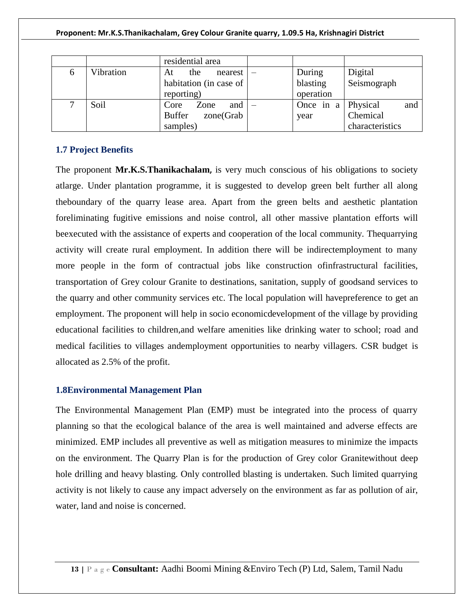|              |           | residential area           |                           |                 |
|--------------|-----------|----------------------------|---------------------------|-----------------|
| <sub>0</sub> | Vibration | the<br>nearest<br>At       | During                    | Digital         |
|              |           | habitation (in case of     | blasting                  | Seismograph     |
|              |           | reporting)                 | operation                 |                 |
|              | Soil      | and<br>Core<br>Zone        | Once in $a \mid$ Physical | and             |
|              |           | <b>Buffer</b><br>zone(Grab | year                      | Chemical        |
|              |           | samples)                   |                           | characteristics |

#### **1.7 Project Benefits**

The proponent **Mr.K.S.Thanikachalam,** is very much conscious of his obligations to society atlarge. Under plantation programme, it is suggested to develop green belt further all along theboundary of the quarry lease area. Apart from the green belts and aesthetic plantation foreliminating fugitive emissions and noise control, all other massive plantation efforts will beexecuted with the assistance of experts and cooperation of the local community. Thequarrying activity will create rural employment. In addition there will be indirectemployment to many more people in the form of contractual jobs like construction ofinfrastructural facilities, transportation of Grey colour Granite to destinations, sanitation, supply of goodsand services to the quarry and other community services etc. The local population will havepreference to get an employment. The proponent will help in socio economicdevelopment of the village by providing educational facilities to children,and welfare amenities like drinking water to school; road and medical facilities to villages andemployment opportunities to nearby villagers. CSR budget is allocated as 2.5% of the profit.

#### **1.8Environmental Management Plan**

The Environmental Management Plan (EMP) must be integrated into the process of quarry planning so that the ecological balance of the area is well maintained and adverse effects are minimized. EMP includes all preventive as well as mitigation measures to minimize the impacts on the environment. The Quarry Plan is for the production of Grey color Granitewithout deep hole drilling and heavy blasting. Only controlled blasting is undertaken. Such limited quarrying activity is not likely to cause any impact adversely on the environment as far as pollution of air, water, land and noise is concerned.